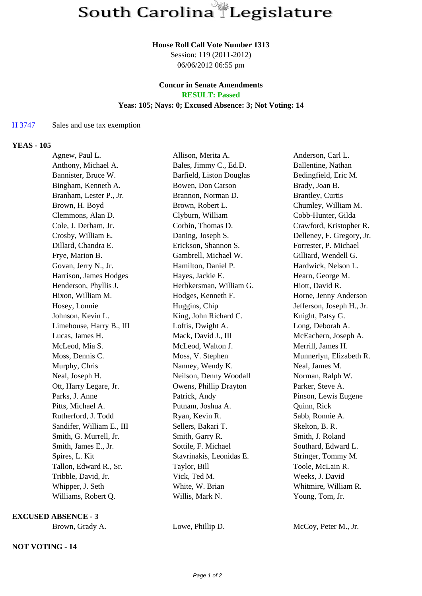### **House Roll Call Vote Number 1313**

Session: 119 (2011-2012) 06/06/2012 06:55 pm

## **Concur in Senate Amendments RESULT: Passed**

### **Yeas: 105; Nays: 0; Excused Absence: 3; Not Voting: 14**

## H 3747 Sales and use tax exemption

## **YEAS - 105**

| Agnew, Paul L.            | Allison, Merita A.       | Anderson, Carl L.         |
|---------------------------|--------------------------|---------------------------|
| Anthony, Michael A.       | Bales, Jimmy C., Ed.D.   | Ballentine, Nathan        |
| Bannister, Bruce W.       | Barfield, Liston Douglas | Bedingfield, Eric M.      |
| Bingham, Kenneth A.       | Bowen, Don Carson        | Brady, Joan B.            |
| Branham, Lester P., Jr.   | Brannon, Norman D.       | Brantley, Curtis          |
| Brown, H. Boyd            | Brown, Robert L.         | Chumley, William M.       |
| Clemmons, Alan D.         | Clyburn, William         | Cobb-Hunter, Gilda        |
| Cole, J. Derham, Jr.      | Corbin, Thomas D.        | Crawford, Kristopher R.   |
| Crosby, William E.        | Daning, Joseph S.        | Delleney, F. Gregory, Jr. |
| Dillard, Chandra E.       | Erickson, Shannon S.     | Forrester, P. Michael     |
| Frye, Marion B.           | Gambrell, Michael W.     | Gilliard, Wendell G.      |
| Govan, Jerry N., Jr.      | Hamilton, Daniel P.      | Hardwick, Nelson L.       |
| Harrison, James Hodges    | Hayes, Jackie E.         | Hearn, George M.          |
| Henderson, Phyllis J.     | Herbkersman, William G.  | Hiott, David R.           |
| Hixon, William M.         | Hodges, Kenneth F.       | Horne, Jenny Anderson     |
| Hosey, Lonnie             | Huggins, Chip            | Jefferson, Joseph H., Jr. |
| Johnson, Kevin L.         | King, John Richard C.    | Knight, Patsy G.          |
| Limehouse, Harry B., III  | Loftis, Dwight A.        | Long, Deborah A.          |
| Lucas, James H.           | Mack, David J., III      | McEachern, Joseph A.      |
| McLeod, Mia S.            | McLeod, Walton J.        | Merrill, James H.         |
| Moss, Dennis C.           | Moss, V. Stephen         | Munnerlyn, Elizabeth R.   |
| Murphy, Chris             | Nanney, Wendy K.         | Neal, James M.            |
| Neal, Joseph H.           | Neilson, Denny Woodall   | Norman, Ralph W.          |
| Ott, Harry Legare, Jr.    | Owens, Phillip Drayton   | Parker, Steve A.          |
| Parks, J. Anne            | Patrick, Andy            | Pinson, Lewis Eugene      |
| Pitts, Michael A.         | Putnam, Joshua A.        | Quinn, Rick               |
| Rutherford, J. Todd       | Ryan, Kevin R.           | Sabb, Ronnie A.           |
| Sandifer, William E., III | Sellers, Bakari T.       | Skelton, B. R.            |
| Smith, G. Murrell, Jr.    | Smith, Garry R.          | Smith, J. Roland          |
| Smith, James E., Jr.      | Sottile, F. Michael      | Southard, Edward L.       |
| Spires, L. Kit            | Stavrinakis, Leonidas E. | Stringer, Tommy M.        |
| Tallon, Edward R., Sr.    | Taylor, Bill             | Toole, McLain R.          |
| Tribble, David, Jr.       | Vick, Ted M.             | Weeks, J. David           |
| Whipper, J. Seth          | White, W. Brian          | Whitmire, William R.      |
| Williams, Robert Q.       | Willis, Mark N.          | Young, Tom, Jr.           |

**EXCUSED ABSENCE - 3**

# **NOT VOTING - 14**

Brown, Grady A. Lowe, Phillip D. McCoy, Peter M., Jr.